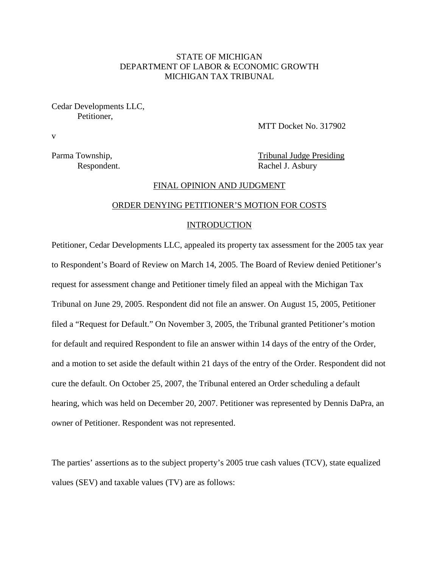# STATE OF MICHIGAN DEPARTMENT OF LABOR & ECONOMIC GROWTH MICHIGAN TAX TRIBUNAL

Cedar Developments LLC, Petitioner,

MTT Docket No. 317902

v

Parma Township, Tribunal Judge Presiding Respondent. Rachel J. Asbury

## FINAL OPINION AND JUDGMENT

# ORDER DENYING PETITIONER'S MOTION FOR COSTS

#### INTRODUCTION

Petitioner, Cedar Developments LLC, appealed its property tax assessment for the 2005 tax year to Respondent's Board of Review on March 14, 2005. The Board of Review denied Petitioner's request for assessment change and Petitioner timely filed an appeal with the Michigan Tax Tribunal on June 29, 2005. Respondent did not file an answer. On August 15, 2005, Petitioner filed a "Request for Default." On November 3, 2005, the Tribunal granted Petitioner's motion for default and required Respondent to file an answer within 14 days of the entry of the Order, and a motion to set aside the default within 21 days of the entry of the Order. Respondent did not cure the default. On October 25, 2007, the Tribunal entered an Order scheduling a default hearing, which was held on December 20, 2007. Petitioner was represented by Dennis DaPra, an owner of Petitioner. Respondent was not represented.

The parties' assertions as to the subject property's 2005 true cash values (TCV), state equalized values (SEV) and taxable values (TV) are as follows: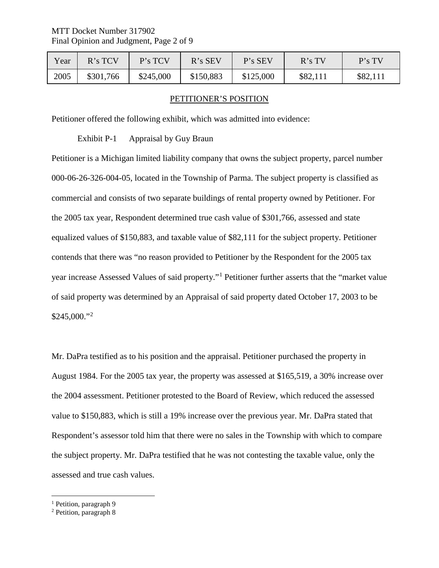| Year | $R$ 's TCV | P's TCV   | $R$ 's SEV | P's SEV   | R's TV   | P's TV   |
|------|------------|-----------|------------|-----------|----------|----------|
| 2005 | \$301,766  | \$245,000 | \$150,883  | \$125,000 | \$82,111 | \$82,111 |

### PETITIONER'S POSITION

Petitioner offered the following exhibit, which was admitted into evidence:

Exhibit P-1 Appraisal by Guy Braun

Petitioner is a Michigan limited liability company that owns the subject property, parcel number 000-06-26-326-004-05, located in the Township of Parma. The subject property is classified as commercial and consists of two separate buildings of rental property owned by Petitioner. For the 2005 tax year, Respondent determined true cash value of \$301,766, assessed and state equalized values of \$150,883, and taxable value of \$82,111 for the subject property. Petitioner contends that there was "no reason provided to Petitioner by the Respondent for the 2005 tax year increase Assessed Values of said property."[1](#page-1-0) Petitioner further asserts that the "market value of said property was determined by an Appraisal of said property dated October 17, 2003 to be  $$245,000."^{2}$  $$245,000."^{2}$  $$245,000."^{2}$ 

Mr. DaPra testified as to his position and the appraisal. Petitioner purchased the property in August 1984. For the 2005 tax year, the property was assessed at \$165,519, a 30% increase over the 2004 assessment. Petitioner protested to the Board of Review, which reduced the assessed value to \$150,883, which is still a 19% increase over the previous year. Mr. DaPra stated that Respondent's assessor told him that there were no sales in the Township with which to compare the subject property. Mr. DaPra testified that he was not contesting the taxable value, only the assessed and true cash values.

<span id="page-1-0"></span><sup>&</sup>lt;sup>1</sup> Petition, paragraph 9

<span id="page-1-1"></span><sup>2</sup> Petition, paragraph 8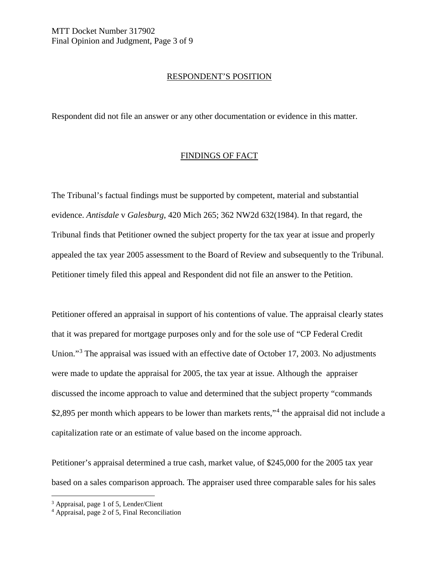# RESPONDENT'S POSITION

Respondent did not file an answer or any other documentation or evidence in this matter.

## FINDINGS OF FACT

The Tribunal's factual findings must be supported by competent, material and substantial evidence. *Antisdale* v *Galesburg*, 420 Mich 265; 362 NW2d 632(1984). In that regard, the Tribunal finds that Petitioner owned the subject property for the tax year at issue and properly appealed the tax year 2005 assessment to the Board of Review and subsequently to the Tribunal. Petitioner timely filed this appeal and Respondent did not file an answer to the Petition.

Petitioner offered an appraisal in support of his contentions of value. The appraisal clearly states that it was prepared for mortgage purposes only and for the sole use of "CP Federal Credit Union."[3](#page-2-0) The appraisal was issued with an effective date of October 17, 2003. No adjustments were made to update the appraisal for 2005, the tax year at issue. Although the appraiser discussed the income approach to value and determined that the subject property "commands \$2,895 per month which appears to be lower than markets rents,"<sup>[4](#page-2-1)</sup> the appraisal did not include a capitalization rate or an estimate of value based on the income approach.

Petitioner's appraisal determined a true cash, market value, of \$245,000 for the 2005 tax year based on a sales comparison approach. The appraiser used three comparable sales for his sales

<span id="page-2-0"></span> <sup>3</sup> Appraisal, page 1 of 5, Lender/Client

<span id="page-2-1"></span><sup>4</sup> Appraisal, page 2 of 5, Final Reconciliation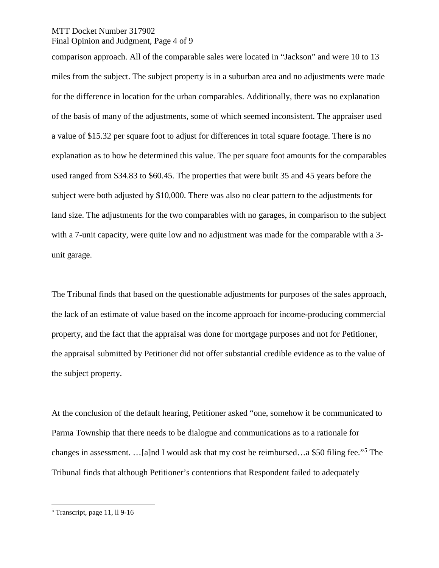### MTT Docket Number 317902 Final Opinion and Judgment, Page 4 of 9

comparison approach. All of the comparable sales were located in "Jackson" and were 10 to 13 miles from the subject. The subject property is in a suburban area and no adjustments were made for the difference in location for the urban comparables. Additionally, there was no explanation of the basis of many of the adjustments, some of which seemed inconsistent. The appraiser used a value of \$15.32 per square foot to adjust for differences in total square footage. There is no explanation as to how he determined this value. The per square foot amounts for the comparables used ranged from \$34.83 to \$60.45. The properties that were built 35 and 45 years before the subject were both adjusted by \$10,000. There was also no clear pattern to the adjustments for land size. The adjustments for the two comparables with no garages, in comparison to the subject with a 7-unit capacity, were quite low and no adjustment was made for the comparable with a 3unit garage.

The Tribunal finds that based on the questionable adjustments for purposes of the sales approach, the lack of an estimate of value based on the income approach for income-producing commercial property, and the fact that the appraisal was done for mortgage purposes and not for Petitioner, the appraisal submitted by Petitioner did not offer substantial credible evidence as to the value of the subject property.

At the conclusion of the default hearing, Petitioner asked "one, somehow it be communicated to Parma Township that there needs to be dialogue and communications as to a rationale for changes in assessment. …[a]nd I would ask that my cost be reimbursed…a \$50 filing fee."[5](#page-3-0) The Tribunal finds that although Petitioner's contentions that Respondent failed to adequately

<span id="page-3-0"></span> $<sup>5</sup>$  Transcript, page 11, ll 9-16</sup>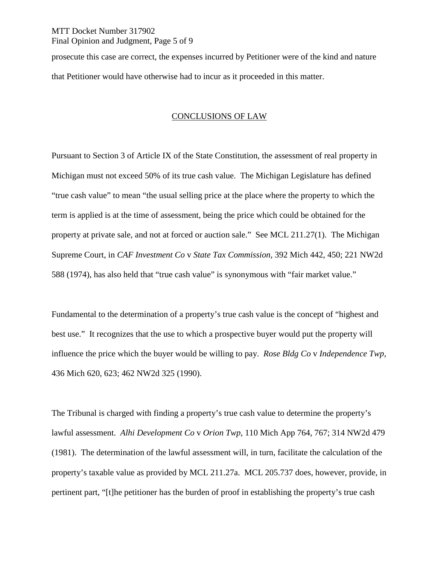# MTT Docket Number 317902 Final Opinion and Judgment, Page 5 of 9

prosecute this case are correct, the expenses incurred by Petitioner were of the kind and nature that Petitioner would have otherwise had to incur as it proceeded in this matter.

# CONCLUSIONS OF LAW

Pursuant to Section 3 of Article IX of the State Constitution, the assessment of real property in Michigan must not exceed 50% of its true cash value. The Michigan Legislature has defined "true cash value" to mean "the usual selling price at the place where the property to which the term is applied is at the time of assessment, being the price which could be obtained for the property at private sale, and not at forced or auction sale." See MCL 211.27(1). The Michigan Supreme Court, in *CAF Investment Co* v *State Tax Commission*, 392 Mich 442, 450; 221 NW2d 588 (1974), has also held that "true cash value" is synonymous with "fair market value."

Fundamental to the determination of a property's true cash value is the concept of "highest and best use." It recognizes that the use to which a prospective buyer would put the property will influence the price which the buyer would be willing to pay. *Rose Bldg Co* v *Independence Twp*, 436 Mich 620, 623; 462 NW2d 325 (1990).

The Tribunal is charged with finding a property's true cash value to determine the property's lawful assessment. *Alhi Development Co* v *Orion Twp*, 110 Mich App 764, 767; 314 NW2d 479 (1981). The determination of the lawful assessment will, in turn, facilitate the calculation of the property's taxable value as provided by MCL 211.27a. MCL 205.737 does, however, provide, in pertinent part, "[t]he petitioner has the burden of proof in establishing the property's true cash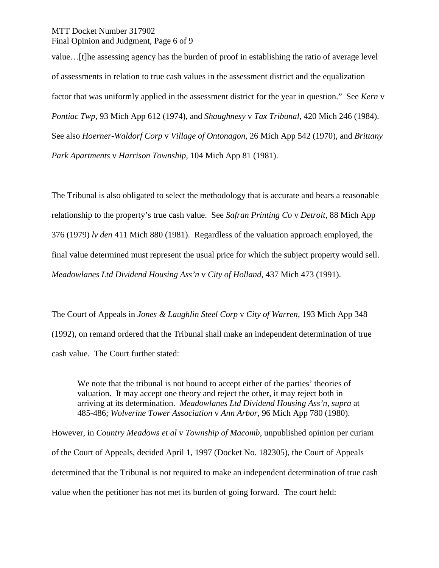MTT Docket Number 317902 Final Opinion and Judgment, Page 6 of 9

value…[t]he assessing agency has the burden of proof in establishing the ratio of average level of assessments in relation to true cash values in the assessment district and the equalization factor that was uniformly applied in the assessment district for the year in question." See *Kern* v *Pontiac Twp*, 93 Mich App 612 (1974), and *Shaughnesy* v *Tax Tribunal*, 420 Mich 246 (1984). See also *Hoerner-Waldorf Corp* v *Village of Ontonagon*, 26 Mich App 542 (1970), and *Brittany Park Apartments* v *Harrison Township*, 104 Mich App 81 (1981).

The Tribunal is also obligated to select the methodology that is accurate and bears a reasonable relationship to the property's true cash value. See *Safran Printing Co* v *Detroit*, 88 Mich App 376 (1979) *lv den* 411 Mich 880 (1981). Regardless of the valuation approach employed, the final value determined must represent the usual price for which the subject property would sell. *Meadowlanes Ltd Dividend Housing Ass'n* v *City of Holland*, 437 Mich 473 (1991).

The Court of Appeals in *Jones & Laughlin Steel Corp* v *City of Warren*, 193 Mich App 348 (1992), on remand ordered that the Tribunal shall make an independent determination of true cash value. The Court further stated:

We note that the tribunal is not bound to accept either of the parties' theories of valuation. It may accept one theory and reject the other, it may reject both in arriving at its determination. *Meadowlanes Ltd Dividend Housing Ass'n*, *supra* at 485-486; *Wolverine Tower Association* v *Ann Arbor*, 96 Mich App 780 (1980).

However, in *Country Meadows et al* v *Township of Macomb*, unpublished opinion per curiam of the Court of Appeals, decided April 1, 1997 (Docket No. 182305), the Court of Appeals determined that the Tribunal is not required to make an independent determination of true cash value when the petitioner has not met its burden of going forward. The court held: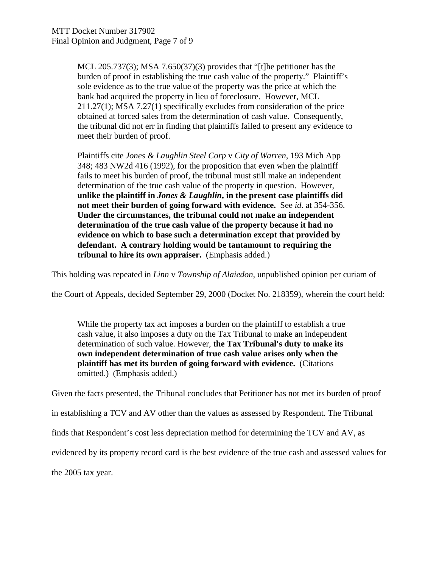MCL 205.737(3); MSA 7.650(37)(3) provides that "[t]he petitioner has the burden of proof in establishing the true cash value of the property." Plaintiff's sole evidence as to the true value of the property was the price at which the bank had acquired the property in lieu of foreclosure. However, MCL 211.27(1); MSA 7.27(1) specifically excludes from consideration of the price obtained at forced sales from the determination of cash value. Consequently, the tribunal did not err in finding that plaintiffs failed to present any evidence to meet their burden of proof.

Plaintiffs cite *Jones & Laughlin Steel Corp* v *City of Warren*, 193 Mich App 348; 483 NW2d 416 (1992), for the proposition that even when the plaintiff fails to meet his burden of proof, the tribunal must still make an independent determination of the true cash value of the property in question. However, **unlike the plaintiff in** *Jones & Laughlin***, in the present case plaintiffs did not meet their burden of going forward with evidence.** See *id*. at 354-356. **Under the circumstances, the tribunal could not make an independent determination of the true cash value of the property because it had no evidence on which to base such a determination except that provided by defendant. A contrary holding would be tantamount to requiring the tribunal to hire its own appraiser.** (Emphasis added.)

This holding was repeated in *Linn* v *Township of Alaiedon*, unpublished opinion per curiam of

the Court of Appeals, decided September 29, 2000 (Docket No. 218359), wherein the court held:

While the property tax act imposes a burden on the plaintiff to establish a true cash value, it also imposes a duty on the Tax Tribunal to make an independent determination of such value. However, **the Tax Tribunal's duty to make its own independent determination of true cash value arises only when the plaintiff has met its burden of going forward with evidence.** (Citations omitted.) (Emphasis added.)

Given the facts presented, the Tribunal concludes that Petitioner has not met its burden of proof

in establishing a TCV and AV other than the values as assessed by Respondent. The Tribunal

finds that Respondent's cost less depreciation method for determining the TCV and AV, as

evidenced by its property record card is the best evidence of the true cash and assessed values for

the 2005 tax year.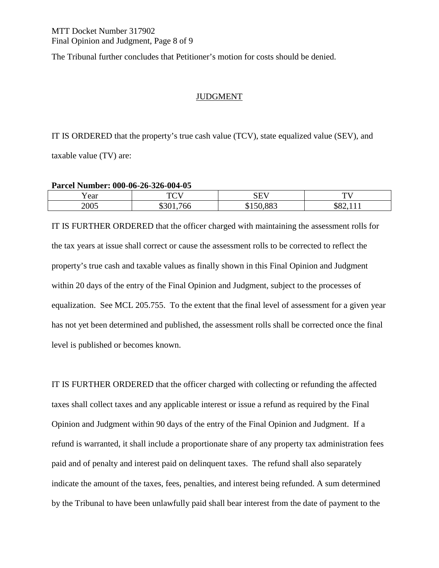The Tribunal further concludes that Petitioner's motion for costs should be denied.

# JUDGMENT

IT IS ORDERED that the property's true cash value (TCV), state equalized value (SEV), and taxable value (TV) are:

### **Parcel Number: 000-06-26-326-004-05**

| Year | $T\cap T$ | $\sim$ - - -<br>-<br>ນມາ | $T^{\prime}$<br>- |
|------|-----------|--------------------------|-------------------|
| 2005 |           | 00 <sup>o</sup><br>. .   | $\sim$ 0.4 $\sim$ |

IT IS FURTHER ORDERED that the officer charged with maintaining the assessment rolls for the tax years at issue shall correct or cause the assessment rolls to be corrected to reflect the property's true cash and taxable values as finally shown in this Final Opinion and Judgment within 20 days of the entry of the Final Opinion and Judgment, subject to the processes of equalization. See MCL 205.755. To the extent that the final level of assessment for a given year has not yet been determined and published, the assessment rolls shall be corrected once the final level is published or becomes known.

IT IS FURTHER ORDERED that the officer charged with collecting or refunding the affected taxes shall collect taxes and any applicable interest or issue a refund as required by the Final Opinion and Judgment within 90 days of the entry of the Final Opinion and Judgment. If a refund is warranted, it shall include a proportionate share of any property tax administration fees paid and of penalty and interest paid on delinquent taxes. The refund shall also separately indicate the amount of the taxes, fees, penalties, and interest being refunded. A sum determined by the Tribunal to have been unlawfully paid shall bear interest from the date of payment to the